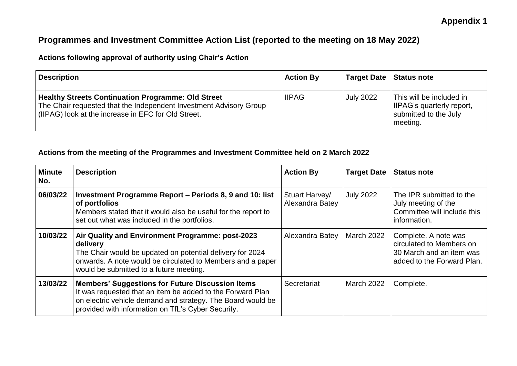# **Appendix 1**

# **Programmes and Investment Committee Action List (reported to the meeting on 18 May 2022)**

## **Actions following approval of authority using Chair's Action**

| <b>Description</b>                                                                                                                                                                     | <b>Action By</b> | Target Date   Status note |                                                                                            |
|----------------------------------------------------------------------------------------------------------------------------------------------------------------------------------------|------------------|---------------------------|--------------------------------------------------------------------------------------------|
| <b>Healthy Streets Continuation Programme: Old Street</b><br>The Chair requested that the Independent Investment Advisory Group<br>(IIPAG) look at the increase in EFC for Old Street. | <b>IIPAG</b>     | <b>July 2022</b>          | This will be included in<br>IIPAG's quarterly report,<br>submitted to the July<br>meeting. |

### **Actions from the meeting of the Programmes and Investment Committee held on 2 March 2022**

| <b>Minute</b><br>No. | <b>Description</b>                                                                                                                                                                                                                         | <b>Action By</b>                  | <b>Target Date</b> | <b>Status note</b>                                                                                         |
|----------------------|--------------------------------------------------------------------------------------------------------------------------------------------------------------------------------------------------------------------------------------------|-----------------------------------|--------------------|------------------------------------------------------------------------------------------------------------|
| 06/03/22             | Investment Programme Report - Periods 8, 9 and 10: list<br>of portfolios<br>Members stated that it would also be useful for the report to<br>set out what was included in the portfolios.                                                  | Stuart Harvey/<br>Alexandra Batey | <b>July 2022</b>   | The IPR submitted to the<br>July meeting of the<br>Committee will include this<br>information.             |
| 10/03/22             | Air Quality and Environment Programme: post-2023<br>delivery<br>The Chair would be updated on potential delivery for 2024<br>onwards. A note would be circulated to Members and a paper<br>would be submitted to a future meeting.         | Alexandra Batey                   | March 2022         | Complete. A note was<br>circulated to Members on<br>30 March and an item was<br>added to the Forward Plan. |
| 13/03/22             | <b>Members' Suggestions for Future Discussion Items</b><br>It was requested that an item be added to the Forward Plan<br>on electric vehicle demand and strategy. The Board would be<br>provided with information on TfL's Cyber Security. | Secretariat                       | March 2022         | Complete.                                                                                                  |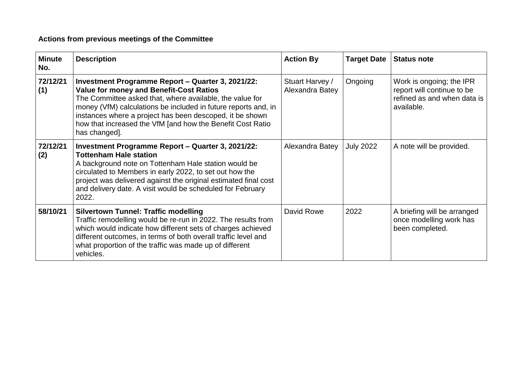# **Actions from previous meetings of the Committee**

| <b>Minute</b><br>No. | <b>Description</b>                                                                                                                                                                                                                                                                                                                                                           | <b>Action By</b>                   | <b>Target Date</b> | <b>Status note</b>                                                                                  |
|----------------------|------------------------------------------------------------------------------------------------------------------------------------------------------------------------------------------------------------------------------------------------------------------------------------------------------------------------------------------------------------------------------|------------------------------------|--------------------|-----------------------------------------------------------------------------------------------------|
| 72/12/21<br>(1)      | Investment Programme Report - Quarter 3, 2021/22:<br><b>Value for money and Benefit-Cost Ratios</b><br>The Committee asked that, where available, the value for<br>money (VfM) calculations be included in future reports and, in<br>instances where a project has been descoped, it be shown<br>how that increased the VfM [and how the Benefit Cost Ratio<br>has changed]. | Stuart Harvey /<br>Alexandra Batey | Ongoing            | Work is ongoing; the IPR<br>report will continue to be<br>refined as and when data is<br>available. |
| 72/12/21<br>(2)      | Investment Programme Report - Quarter 3, 2021/22:<br><b>Tottenham Hale station</b><br>A background note on Tottenham Hale station would be<br>circulated to Members in early 2022, to set out how the<br>project was delivered against the original estimated final cost<br>and delivery date. A visit would be scheduled for February<br>2022.                              | Alexandra Batey                    | <b>July 2022</b>   | A note will be provided.                                                                            |
| 58/10/21             | <b>Silvertown Tunnel: Traffic modelling</b><br>Traffic remodelling would be re-run in 2022. The results from<br>which would indicate how different sets of charges achieved<br>different outcomes, in terms of both overall traffic level and<br>what proportion of the traffic was made up of different<br>vehicles.                                                        | David Rowe                         | 2022               | A briefing will be arranged<br>once modelling work has<br>been completed.                           |